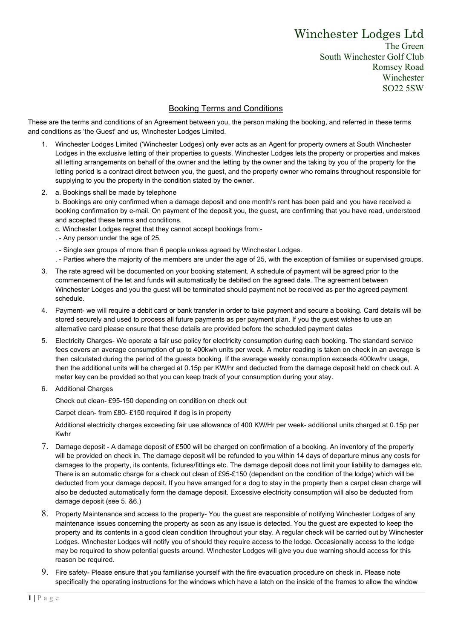## Winchester Lodges Ltd

The Green South Winchester Golf Club Romsey Road Winchester SO22 5SW

## Booking Terms and Conditions

These are the terms and conditions of an Agreement between you, the person making the booking, and referred in these terms and conditions as 'the Guest' and us, Winchester Lodges Limited.

- 1. Winchester Lodges Limited ('Winchester Lodges) only ever acts as an Agent for property owners at South Winchester Lodges in the exclusive letting of their properties to guests. Winchester Lodges lets the property or properties and makes all letting arrangements on behalf of the owner and the letting by the owner and the taking by you of the property for the letting period is a contract direct between you, the guest, and the property owner who remains throughout responsible for supplying to you the property in the condition stated by the owner.
- 2. a. Bookings shall be made by telephone

b. Bookings are only confirmed when a damage deposit and one month's rent has been paid and you have received a booking confirmation by e-mail. On payment of the deposit you, the guest, are confirming that you have read, understood and accepted these terms and conditions.

- c. Winchester Lodges regret that they cannot accept bookings from:-
- . Any person under the age of 25.
- . Single sex groups of more than 6 people unless agreed by Winchester Lodges.
- . Parties where the majority of the members are under the age of 25, with the exception of families or supervised groups.
- 3. The rate agreed will be documented on your booking statement. A schedule of payment will be agreed prior to the commencement of the let and funds will automatically be debited on the agreed date. The agreement between Winchester Lodges and you the guest will be terminated should payment not be received as per the agreed payment schedule.
- 4. Payment- we will require a debit card or bank transfer in order to take payment and secure a booking. Card details will be stored securely and used to process all future payments as per payment plan. If you the guest wishes to use an alternative card please ensure that these details are provided before the scheduled payment dates
- 5. Electricity Charges- We operate a fair use policy for electricity consumption during each booking. The standard service fees covers an average consumption of up to 400kwh units per week. A meter reading is taken on check in an average is then calculated during the period of the guests booking. If the average weekly consumption exceeds 400kw/hr usage, then the additional units will be charged at 0.15p per KW/hr and deducted from the damage deposit held on check out. A meter key can be provided so that you can keep track of your consumption during your stay.
- 6. Additional Charges

Check out clean- £95-150 depending on condition on check out

Carpet clean- from £80- £150 required if dog is in property

Additional electricity charges exceeding fair use allowance of 400 KW/Hr per week- additional units charged at 0.15p per Kwhr

- 7. Damage deposit A damage deposit of £500 will be charged on confirmation of a booking. An inventory of the property will be provided on check in. The damage deposit will be refunded to you within 14 days of departure minus any costs for damages to the property, its contents, fixtures/fittings etc. The damage deposit does not limit your liability to damages etc. There is an automatic charge for a check out clean of £95-£150 (dependant on the condition of the lodge) which will be deducted from your damage deposit. If you have arranged for a dog to stay in the property then a carpet clean charge will also be deducted automatically form the damage deposit. Excessive electricity consumption will also be deducted from damage deposit (see 5. &6.)
- 8. Property Maintenance and access to the property- You the guest are responsible of notifying Winchester Lodges of any maintenance issues concerning the property as soon as any issue is detected. You the guest are expected to keep the property and its contents in a good clean condition throughout your stay. A regular check will be carried out by Winchester Lodges. Winchester Lodges will notify you of should they require access to the lodge. Occasionally access to the lodge may be required to show potential guests around. Winchester Lodges will give you due warning should access for this reason be required.
- 9. Fire safety- Please ensure that you familiarise yourself with the fire evacuation procedure on check in. Please note specifically the operating instructions for the windows which have a latch on the inside of the frames to allow the window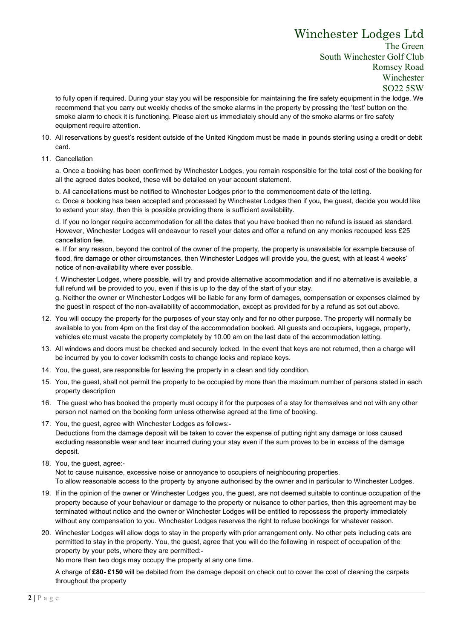## Winchester Lodges Ltd

The Green South Winchester Golf Club Romsey Road Winchester SO22 5SW

to fully open if required. During your stay you will be responsible for maintaining the fire safety equipment in the lodge. We recommend that you carry out weekly checks of the smoke alarms in the property by pressing the 'test' button on the smoke alarm to check it is functioning. Please alert us immediately should any of the smoke alarms or fire safety equipment require attention.

- 10. All reservations by guest's resident outside of the United Kingdom must be made in pounds sterling using a credit or debit card.
- 11. Cancellation

a. Once a booking has been confirmed by Winchester Lodges, you remain responsible for the total cost of the booking for all the agreed dates booked, these will be detailed on your account statement.

b. All cancellations must be notified to Winchester Lodges prior to the commencement date of the letting.

c. Once a booking has been accepted and processed by Winchester Lodges then if you, the guest, decide you would like to extend your stay, then this is possible providing there is sufficient availability.

d. If you no longer require accommodation for all the dates that you have booked then no refund is issued as standard. However, Winchester Lodges will endeavour to resell your dates and offer a refund on any monies recouped less £25 cancellation fee.

e. If for any reason, beyond the control of the owner of the property, the property is unavailable for example because of flood, fire damage or other circumstances, then Winchester Lodges will provide you, the guest, with at least 4 weeks' notice of non-availability where ever possible.

f. Winchester Lodges, where possible, will try and provide alternative accommodation and if no alternative is available, a full refund will be provided to you, even if this is up to the day of the start of your stay.

g. Neither the owner or Winchester Lodges will be liable for any form of damages, compensation or expenses claimed by the guest in respect of the non-availability of accommodation, except as provided for by a refund as set out above.

- 12. You will occupy the property for the purposes of your stay only and for no other purpose. The property will normally be available to you from 4pm on the first day of the accommodation booked. All guests and occupiers, luggage, property, vehicles etc must vacate the property completely by 10.00 am on the last date of the accommodation letting.
- 13. All windows and doors must be checked and securely locked. In the event that keys are not returned, then a charge will be incurred by you to cover locksmith costs to change locks and replace keys.
- 14. You, the guest, are responsible for leaving the property in a clean and tidy condition.
- 15. You, the guest, shall not permit the property to be occupied by more than the maximum number of persons stated in each property description
- 16. The guest who has booked the property must occupy it for the purposes of a stay for themselves and not with any other person not named on the booking form unless otherwise agreed at the time of booking.
- 17. You, the guest, agree with Winchester Lodges as follows:-

Deductions from the damage deposit will be taken to cover the expense of putting right any damage or loss caused excluding reasonable wear and tear incurred during your stay even if the sum proves to be in excess of the damage deposit.

18. You, the guest, agree:-

Not to cause nuisance, excessive noise or annoyance to occupiers of neighbouring properties. To allow reasonable access to the property by anyone authorised by the owner and in particular to Winchester Lodges.

- 19. If in the opinion of the owner or Winchester Lodges you, the guest, are not deemed suitable to continue occupation of the property because of your behaviour or damage to the property or nuisance to other parties, then this agreement may be terminated without notice and the owner or Winchester Lodges will be entitled to repossess the property immediately without any compensation to you. Winchester Lodges reserves the right to refuse bookings for whatever reason.
- 20. Winchester Lodges will allow dogs to stay in the property with prior arrangement only. No other pets including cats are permitted to stay in the property. You, the guest, agree that you will do the following in respect of occupation of the property by your pets, where they are permitted:-

No more than two dogs may occupy the property at any one time.

A charge of £80- £150 will be debited from the damage deposit on check out to cover the cost of cleaning the carpets throughout the property